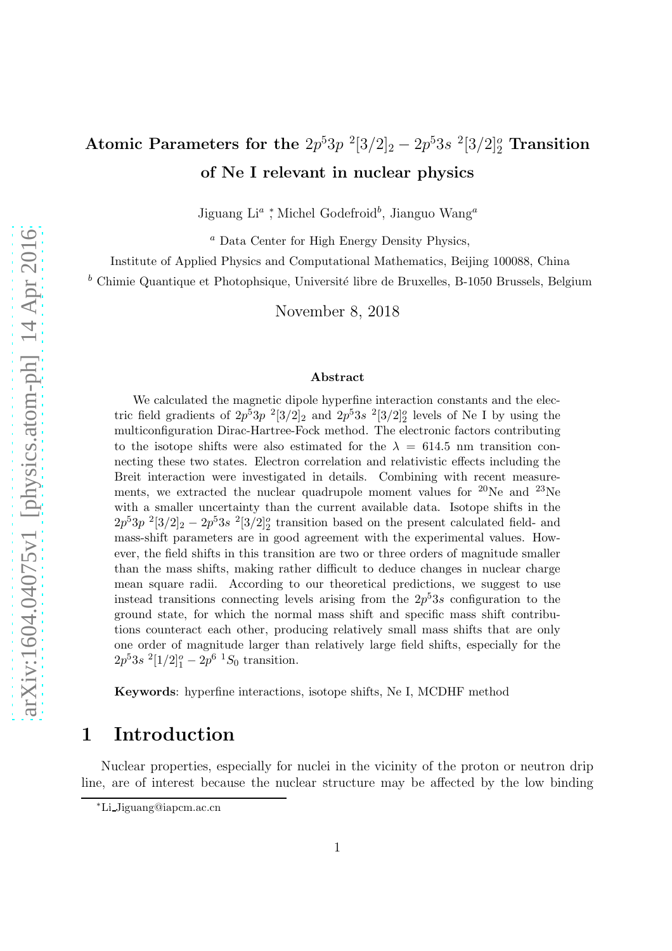# Atomic Parameters for the  $2p^5 3p^2[3/2]_2 - 2p^5 3s^2[3/2]_2^o$  Transition of Ne I relevant in nuclear physics

Jiguang Li<sup>a</sup>; Michel Godefroid<sup>b</sup>, Jianguo Wang<sup>a</sup>

<sup>a</sup> Data Center for High Energy Density Physics,

Institute of Applied Physics and Computational Mathematics, Beijing 100088, China

 $<sup>b</sup>$  Chimie Quantique et Photophsique, Université libre de Bruxelles, B-1050 Brussels, Belgium</sup>

November 8, 2018

#### Abstract

We calculated the magnetic dipole hyperfine interaction constants and the electric field gradients of  $2p^53p^{-2}[3/2]_2$  and  $2p^53s^{-2}[3/2]_2^o$  levels of Ne I by using the multiconfiguration Dirac-Hartree-Fock method. The electronic factors contributing to the isotope shifts were also estimated for the  $\lambda = 614.5$  nm transition connecting these two states. Electron correlation and relativistic effects including the Breit interaction were investigated in details. Combining with recent measurements, we extracted the nuclear quadrupole moment values for <sup>20</sup>Ne and <sup>23</sup>Ne with a smaller uncertainty than the current available data. Isotope shifts in the  $2p^53p^2[3/2]_2 - 2p^53s^2[3/2]_2^o$  transition based on the present calculated field- and mass-shift parameters are in good agreement with the experimental values. However, the field shifts in this transition are two or three orders of magnitude smaller than the mass shifts, making rather difficult to deduce changes in nuclear charge mean square radii. According to our theoretical predictions, we suggest to use instead transitions connecting levels arising from the  $2p^53s$  configuration to the ground state, for which the normal mass shift and specific mass shift contributions counteract each other, producing relatively small mass shifts that are only one order of magnitude larger than relatively large field shifts, especially for the  $2p^53s^2[1/2]_1^o - 2p^6^1S_0$  transition.

Keywords: hyperfine interactions, isotope shifts, Ne I, MCDHF method

## 1 Introduction

Nuclear properties, especially for nuclei in the vicinity of the proton or neutron drip line, are of interest because the nuclear structure may be affected by the low binding

<sup>∗</sup>Li Jiguang@iapcm.ac.cn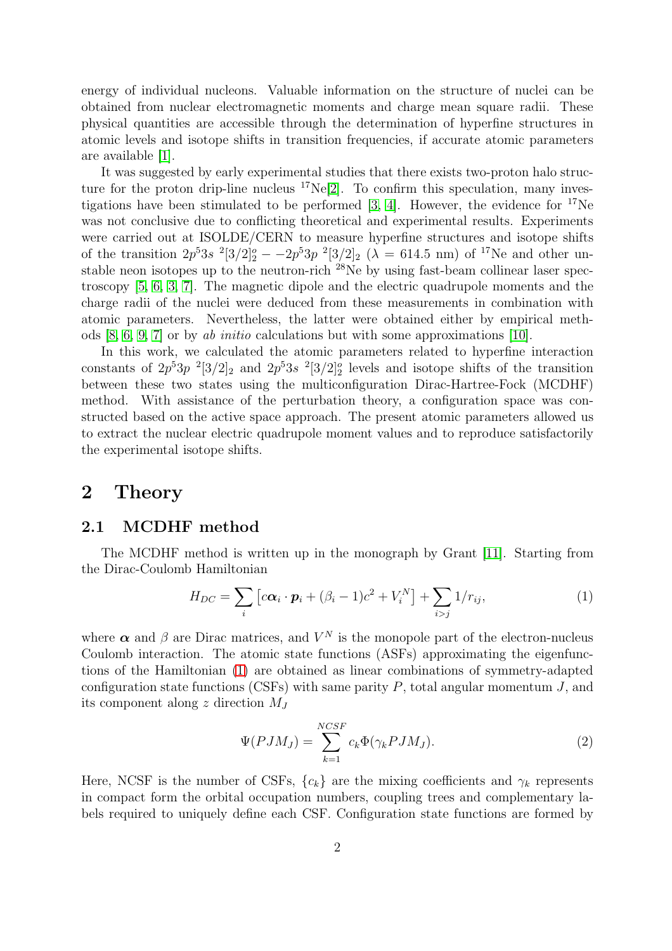energy of individual nucleons. Valuable information on the structure of nuclei can be obtained from nuclear electromagnetic moments and charge mean square radii. These physical quantities are accessible through the determination of hyperfine structures in atomic levels and isotope shifts in transition frequencies, if accurate atomic parameters are available [\[1\]](#page-9-0).

It was suggested by early experimental studies that there exists two-proton halo structure for the proton drip-line nucleus  ${}^{17}Ne[2]$  ${}^{17}Ne[2]$ . To confirm this speculation, many investigations have been stimulated to be performed  $[3, 4]$  $[3, 4]$ . However, the evidence for  $^{17}$ Ne was not conclusive due to conflicting theoretical and experimental results. Experiments were carried out at ISOLDE/CERN to measure hyperfine structures and isotope shifts of the transition  $2p^53s^{-2}[3/2]_2^o - -2p^53p^{-2}[3/2]_2$  ( $\lambda = 614.5$  nm) of <sup>17</sup>Ne and other unstable neon isotopes up to the neutron-rich <sup>28</sup>Ne by using fast-beam collinear laser spectroscopy [\[5,](#page-10-0) [6,](#page-10-1) [3,](#page-9-2) [7\]](#page-10-2). The magnetic dipole and the electric quadrupole moments and the charge radii of the nuclei were deduced from these measurements in combination with atomic parameters. Nevertheless, the latter were obtained either by empirical methods  $[8, 6, 9, 7]$  $[8, 6, 9, 7]$  $[8, 6, 9, 7]$  $[8, 6, 9, 7]$  or by ab initio calculations but with some approximations  $[10]$ .

In this work, we calculated the atomic parameters related to hyperfine interaction constants of  $2p^53p^{-2}[3/2]_2$  and  $2p^53s^{-2}[3/2]_2^o$  levels and isotope shifts of the transition between these two states using the multiconfiguration Dirac-Hartree-Fock (MCDHF) method. With assistance of the perturbation theory, a configuration space was constructed based on the active space approach. The present atomic parameters allowed us to extract the nuclear electric quadrupole moment values and to reproduce satisfactorily the experimental isotope shifts.

#### 2 Theory

#### 2.1 MCDHF method

The MCDHF method is written up in the monograph by Grant [\[11\]](#page-10-6). Starting from the Dirac-Coulomb Hamiltonian

<span id="page-1-0"></span>
$$
H_{DC} = \sum_{i} \left[ c\boldsymbol{\alpha}_{i} \cdot \boldsymbol{p}_{i} + (\beta_{i} - 1)c^{2} + V_{i}^{N} \right] + \sum_{i > j} 1/r_{ij}, \qquad (1)
$$

where  $\alpha$  and  $\beta$  are Dirac matrices, and  $V^N$  is the monopole part of the electron-nucleus Coulomb interaction. The atomic state functions (ASFs) approximating the eigenfunctions of the Hamiltonian [\(1\)](#page-1-0) are obtained as linear combinations of symmetry-adapted configuration state functions (CSFs) with same parity  $P$ , total angular momentum  $J$ , and its component along z direction  $M_J$ 

$$
\Psi(PJM_J) = \sum_{k=1}^{NCSF} c_k \Phi(\gamma_k PJM_J). \tag{2}
$$

Here, NCSF is the number of CSFs,  $\{c_k\}$  are the mixing coefficients and  $\gamma_k$  represents in compact form the orbital occupation numbers, coupling trees and complementary labels required to uniquely define each CSF. Configuration state functions are formed by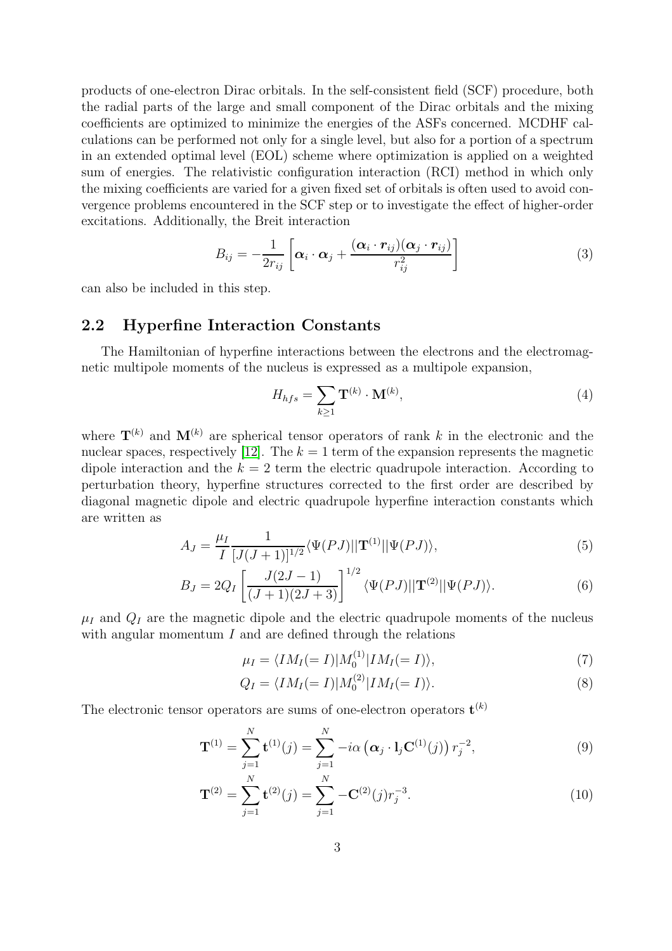products of one-electron Dirac orbitals. In the self-consistent field (SCF) procedure, both the radial parts of the large and small component of the Dirac orbitals and the mixing coefficients are optimized to minimize the energies of the ASFs concerned. MCDHF calculations can be performed not only for a single level, but also for a portion of a spectrum in an extended optimal level (EOL) scheme where optimization is applied on a weighted sum of energies. The relativistic configuration interaction (RCI) method in which only the mixing coefficients are varied for a given fixed set of orbitals is often used to avoid convergence problems encountered in the SCF step or to investigate the effect of higher-order excitations. Additionally, the Breit interaction

$$
B_{ij} = -\frac{1}{2r_{ij}} \left[ \boldsymbol{\alpha}_i \cdot \boldsymbol{\alpha}_j + \frac{(\boldsymbol{\alpha}_i \cdot \boldsymbol{r}_{ij})(\boldsymbol{\alpha}_j \cdot \boldsymbol{r}_{ij})}{r_{ij}^2} \right]
$$
(3)

can also be included in this step.

#### 2.2 Hyperfine Interaction Constants

The Hamiltonian of hyperfine interactions between the electrons and the electromagnetic multipole moments of the nucleus is expressed as a multipole expansion,

$$
H_{hfs} = \sum_{k \ge 1} \mathbf{T}^{(k)} \cdot \mathbf{M}^{(k)},\tag{4}
$$

where  $\mathbf{T}^{(k)}$  and  $\mathbf{M}^{(k)}$  are spherical tensor operators of rank k in the electronic and the nuclear spaces, respectively [\[12\]](#page-10-7). The  $k = 1$  term of the expansion represents the magnetic dipole interaction and the  $k = 2$  term the electric quadrupole interaction. According to perturbation theory, hyperfine structures corrected to the first order are described by diagonal magnetic dipole and electric quadrupole hyperfine interaction constants which are written as

$$
A_J = \frac{\mu_I}{I} \frac{1}{[J(J+1)]^{1/2}} \langle \Psi(PJ) || \mathbf{T}^{(1)} || \Psi(PJ) \rangle, \tag{5}
$$

$$
B_J = 2Q_I \left[ \frac{J(2J-1)}{(J+1)(2J+3)} \right]^{1/2} \langle \Psi(PJ) || \mathbf{T}^{(2)} || \Psi(PJ) \rangle.
$$
 (6)

 $\mu_I$  and  $Q_I$  are the magnetic dipole and the electric quadrupole moments of the nucleus with angular momentum  $I$  and are defined through the relations

$$
\mu_I = \langle IM_I (= I) | M_0^{(1)} | IM_I (= I) \rangle, \tag{7}
$$

$$
Q_I = \langle IM_I (= I) | M_0^{(2)} | IM_I (= I) \rangle. \tag{8}
$$

The electronic tensor operators are sums of one-electron operators  $\mathbf{t}^{(k)}$ 

$$
\mathbf{T}^{(1)} = \sum_{j=1}^{N} \mathbf{t}^{(1)}(j) = \sum_{j=1}^{N} -i\alpha \left( \alpha_j \cdot \mathbf{l}_j \mathbf{C}^{(1)}(j) \right) r_j^{-2}, \tag{9}
$$

$$
\mathbf{T}^{(2)} = \sum_{j=1}^{N} \mathbf{t}^{(2)}(j) = \sum_{j=1}^{N} -\mathbf{C}^{(2)}(j)r_j^{-3}.
$$
 (10)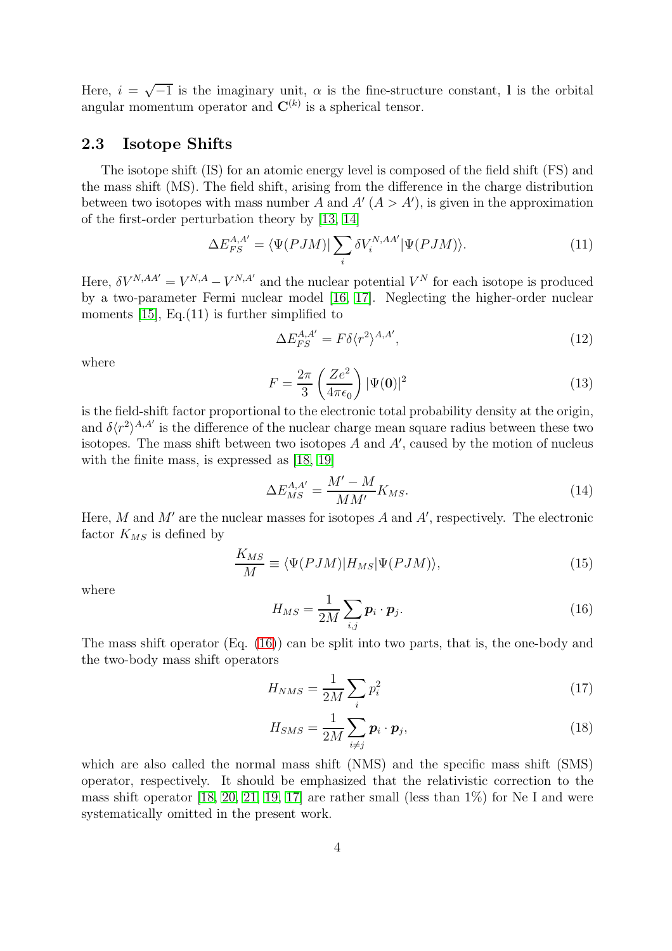Here,  $i = \sqrt{-1}$  is the imaginary unit,  $\alpha$  is the fine-structure constant, l is the orbital angular momentum operator and  $\mathbf{C}^{(k)}$  is a spherical tensor.

#### 2.3 Isotope Shifts

The isotope shift (IS) for an atomic energy level is composed of the field shift (FS) and the mass shift (MS). The field shift, arising from the difference in the charge distribution between two isotopes with mass number A and  $A'(A > A')$ , is given in the approximation of the first-order perturbation theory by [\[13,](#page-10-8) [14\]](#page-10-9)

$$
\Delta E_{FS}^{A,A'} = \langle \Psi(PJM) | \sum_{i} \delta V_i^{N,AA'} | \Psi(PJM) \rangle.
$$
 (11)

Here,  $\delta V^{N,AA'} = V^{N,A} - V^{N,A'}$  and the nuclear potential  $V^N$  for each isotope is produced by a two-parameter Fermi nuclear model [\[16,](#page-10-10) [17\]](#page-10-11). Neglecting the higher-order nuclear moments  $[15]$ , Eq. $(11)$  is further simplified to

$$
\Delta E_{FS}^{A,A'} = F \delta \langle r^2 \rangle^{A,A'},\tag{12}
$$

where

$$
F = \frac{2\pi}{3} \left( \frac{Ze^2}{4\pi\epsilon_0} \right) |\Psi(\mathbf{0})|^2 \tag{13}
$$

is the field-shift factor proportional to the electronic total probability density at the origin, and  $\delta \langle r^2 \rangle^{A,A'}$  is the difference of the nuclear charge mean square radius between these two isotopes. The mass shift between two isotopes  $A$  and  $A'$ , caused by the motion of nucleus with the finite mass, is expressed as [\[18,](#page-10-13) [19\]](#page-10-14)

$$
\Delta E_{MS}^{A,A'} = \frac{M' - M}{MM'} K_{MS}.\tag{14}
$$

Here, M and  $M'$  are the nuclear masses for isotopes A and  $A'$ , respectively. The electronic factor  $K_{MS}$  is defined by

$$
\frac{K_{MS}}{M} \equiv \langle \Psi(PJM) | H_{MS} | \Psi(PJM) \rangle, \tag{15}
$$

where

<span id="page-3-0"></span>
$$
H_{MS} = \frac{1}{2M} \sum_{i,j} \boldsymbol{p}_i \cdot \boldsymbol{p}_j. \tag{16}
$$

The mass shift operator (Eq. [\(16\)](#page-3-0)) can be split into two parts, that is, the one-body and the two-body mass shift operators

$$
H_{NMS} = \frac{1}{2M} \sum_{i} p_i^2 \tag{17}
$$

$$
H_{SMS} = \frac{1}{2M} \sum_{i \neq j} \boldsymbol{p}_i \cdot \boldsymbol{p}_j,\tag{18}
$$

which are also called the normal mass shift (NMS) and the specific mass shift (SMS) operator, respectively. It should be emphasized that the relativistic correction to the mass shift operator [\[18,](#page-10-13) [20,](#page-10-15) [21,](#page-10-16) [19,](#page-10-14) [17\]](#page-10-11) are rather small (less than  $1\%$ ) for Ne I and were systematically omitted in the present work.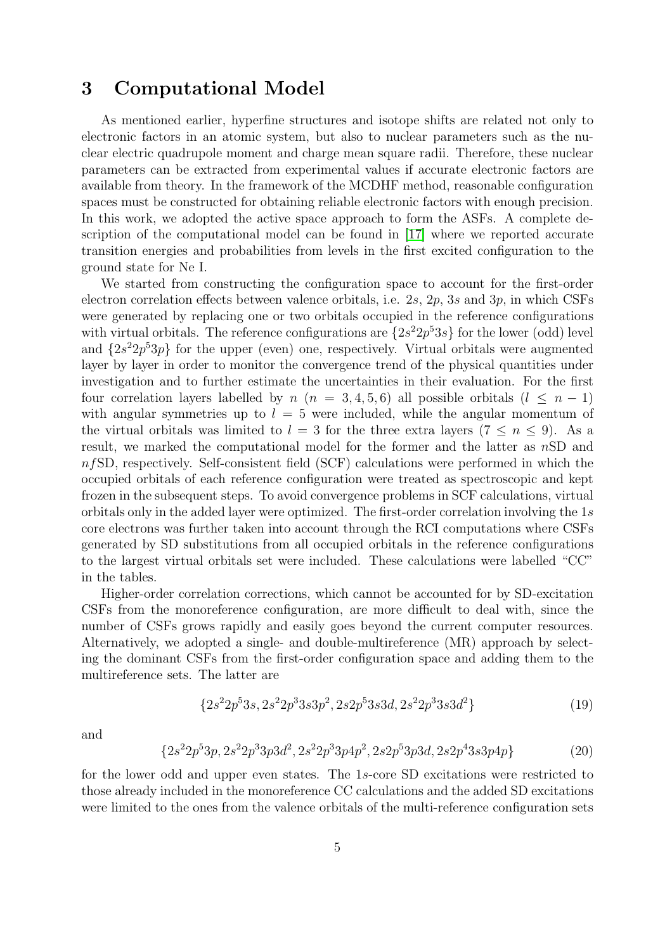### 3 Computational Model

As mentioned earlier, hyperfine structures and isotope shifts are related not only to electronic factors in an atomic system, but also to nuclear parameters such as the nuclear electric quadrupole moment and charge mean square radii. Therefore, these nuclear parameters can be extracted from experimental values if accurate electronic factors are available from theory. In the framework of the MCDHF method, reasonable configuration spaces must be constructed for obtaining reliable electronic factors with enough precision. In this work, we adopted the active space approach to form the ASFs. A complete description of the computational model can be found in [\[17\]](#page-10-11) where we reported accurate transition energies and probabilities from levels in the first excited configuration to the ground state for Ne I.

We started from constructing the configuration space to account for the first-order electron correlation effects between valence orbitals, i.e. 2s, 2p, 3s and 3p, in which CSFs were generated by replacing one or two orbitals occupied in the reference configurations with virtual orbitals. The reference configurations are  $\{2s^22p^53s\}$  for the lower (odd) level and  $\{2s^22p^53p\}$  for the upper (even) one, respectively. Virtual orbitals were augmented layer by layer in order to monitor the convergence trend of the physical quantities under investigation and to further estimate the uncertainties in their evaluation. For the first four correlation layers labelled by  $n (n = 3, 4, 5, 6)$  all possible orbitals  $(l \leq n - 1)$ with angular symmetries up to  $l = 5$  were included, while the angular momentum of the virtual orbitals was limited to  $l = 3$  for the three extra layers  $(7 \le n \le 9)$ . As a result, we marked the computational model for the former and the latter as nSD and  $n fSD$ , respectively. Self-consistent field (SCF) calculations were performed in which the occupied orbitals of each reference configuration were treated as spectroscopic and kept frozen in the subsequent steps. To avoid convergence problems in SCF calculations, virtual orbitals only in the added layer were optimized. The first-order correlation involving the 1s core electrons was further taken into account through the RCI computations where CSFs generated by SD substitutions from all occupied orbitals in the reference configurations to the largest virtual orbitals set were included. These calculations were labelled "CC" in the tables.

Higher-order correlation corrections, which cannot be accounted for by SD-excitation CSFs from the monoreference configuration, are more difficult to deal with, since the number of CSFs grows rapidly and easily goes beyond the current computer resources. Alternatively, we adopted a single- and double-multireference (MR) approach by selecting the dominant CSFs from the first-order configuration space and adding them to the multireference sets. The latter are

$$
{2s22p53s, 2s22p33s3p2, 2s2p53s3d, 2s22p33s3d2}
$$
\n(19)

and

$$
\{2s^22p^53p, 2s^22p^33p3d^2, 2s^22p^33p4p^2, 2s2p^53p3d, 2s2p^43s3p4p\} \tag{20}
$$

for the lower odd and upper even states. The 1s-core SD excitations were restricted to those already included in the monoreference CC calculations and the added SD excitations were limited to the ones from the valence orbitals of the multi-reference configuration sets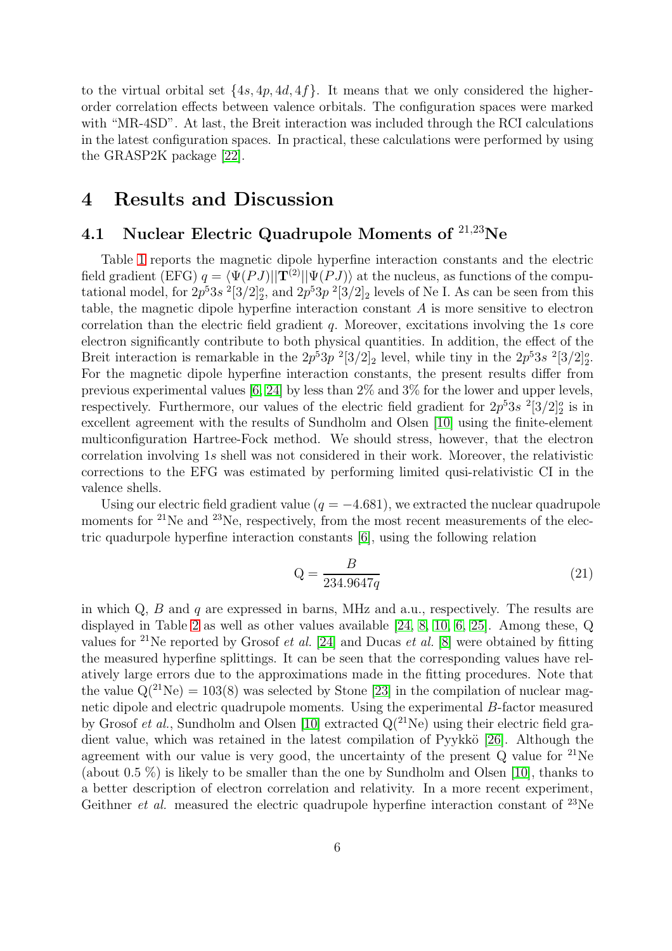to the virtual orbital set  $\{4s, 4p, 4d, 4f\}$ . It means that we only considered the higherorder correlation effects between valence orbitals. The configuration spaces were marked with "MR-4SD". At last, the Breit interaction was included through the RCI calculations in the latest configuration spaces. In practical, these calculations were performed by using the GRASP2K package [\[22\]](#page-10-17).

### 4 Results and Discussion

## 4.1 Nuclear Electric Quadrupole Moments of  $^{21,23}$ Ne

Table [1](#page-6-0) reports the magnetic dipole hyperfine interaction constants and the electric field gradient (EFG)  $q = \langle \Psi(P J) || \mathbf{T}^{(2)} || \Psi(P J) \rangle$  at the nucleus, as functions of the computational model, for  $2p^53s^2[3/2]_2^o$ , and  $2p^53p^2[3/2]_2$  levels of Ne I. As can be seen from this table, the magnetic dipole hyperfine interaction constant A is more sensitive to electron correlation than the electric field gradient  $q$ . Moreover, excitations involving the 1s core electron significantly contribute to both physical quantities. In addition, the effect of the Breit interaction is remarkable in the  $2p^53p^2[3/2]_2$  level, while tiny in the  $2p^53s^2[3/2]_2^o$ . For the magnetic dipole hyperfine interaction constants, the present results differ from previous experimental values [\[6,](#page-10-1) [24\]](#page-11-0) by less than 2% and 3% for the lower and upper levels, respectively. Furthermore, our values of the electric field gradient for  $2p^53s^{-2}[3/2]_2^o$  is in excellent agreement with the results of Sundholm and Olsen [\[10\]](#page-10-5) using the finite-element multiconfiguration Hartree-Fock method. We should stress, however, that the electron correlation involving 1s shell was not considered in their work. Moreover, the relativistic corrections to the EFG was estimated by performing limited qusi-relativistic CI in the valence shells.

Using our electric field gradient value ( $q = -4.681$ ), we extracted the nuclear quadrupole moments for  $2^{1}$ Ne and  $2^{3}$ Ne, respectively, from the most recent measurements of the electric quadurpole hyperfine interaction constants [\[6\]](#page-10-1), using the following relation

$$
\mathbf{Q} = \frac{B}{234.9647q} \tag{21}
$$

in which  $Q$ ,  $B$  and  $q$  are expressed in barns, MHz and a.u., respectively. The results are displayed in Table [2](#page-6-1) as well as other values available [\[24,](#page-11-0) [8,](#page-10-3) [10,](#page-10-5) [6,](#page-10-1) [25\]](#page-11-1). Among these, Q values for <sup>21</sup>Ne reported by Grosof *et al.* [\[24\]](#page-11-0) and Ducas *et al.* [\[8\]](#page-10-3) were obtained by fitting the measured hyperfine splittings. It can be seen that the corresponding values have relatively large errors due to the approximations made in the fitting procedures. Note that the value  $Q(^{21}Ne) = 103(8)$  was selected by Stone [\[23\]](#page-10-18) in the compilation of nuclear magnetic dipole and electric quadrupole moments. Using the experimental B-factor measured by Grosof et al., Sundholm and Olsen [\[10\]](#page-10-5) extracted  $Q(^{21}Ne)$  using their electric field gra-dient value, which was retained in the latest compilation of Pyykkö [\[26\]](#page-11-2). Although the agreement with our value is very good, the uncertainty of the present  $Q$  value for  $^{21}$ Ne (about 0.5  $\%$ ) is likely to be smaller than the one by Sundholm and Olsen [\[10\]](#page-10-5), thanks to a better description of electron correlation and relativity. In a more recent experiment, Geithner *et al.* measured the electric quadrupole hyperfine interaction constant of  $^{23}$ Ne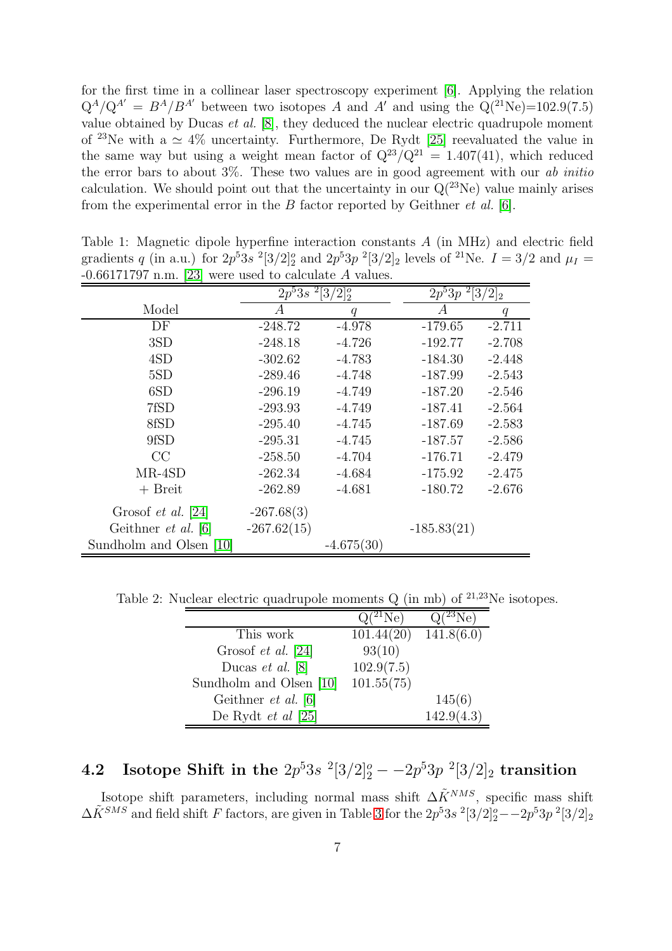for the first time in a collinear laser spectroscopy experiment [\[6\]](#page-10-1). Applying the relation  $Q^A/Q^{A'} = B^A/B^{A'}$  between two isotopes A and A' and using the  $Q(^{21}\text{Ne})=102.9(7.5)$ value obtained by Ducas *et al.* [\[8\]](#page-10-3), they deduced the nuclear electric quadrupole moment of <sup>23</sup>Ne with a  $\simeq$  4% uncertainty. Furthermore, De Rydt [\[25\]](#page-11-1) reevaluated the value in the same way but using a weight mean factor of  $Q^{23}/Q^{21} = 1.407(41)$ , which reduced the error bars to about  $3\%$ . These two values are in good agreement with our *ab initio* calculation. We should point out that the uncertainty in our  $Q(^{23}Ne)$  value mainly arises from the experimental error in the  $B$  factor reported by Geithner *et al.* [\[6\]](#page-10-1).

| $-0.001$ (1.9) II.III. [20] were used to calculate A values. |                                                   |              |                                     |          |  |
|--------------------------------------------------------------|---------------------------------------------------|--------------|-------------------------------------|----------|--|
|                                                              | $\sqrt{2p^53s^2}$ [3/2] <sup>o</sup> <sub>2</sub> |              | $\overline{2p}^{5}3p~^{2}[3/2]_{2}$ |          |  |
| Model                                                        | А                                                 | q            | А                                   | q        |  |
| DF                                                           | $-248.72$                                         | $-4.978$     | $-179.65$                           | $-2.711$ |  |
| 3SD                                                          | $-248.18$                                         | $-4.726$     | $-192.77$                           | $-2.708$ |  |
| 4SD                                                          | $-302.62$                                         | $-4.783$     | $-184.30$                           | $-2.448$ |  |
| 5SD                                                          | $-289.46$                                         | $-4.748$     | $-187.99$                           | $-2.543$ |  |
| 6SD                                                          | $-296.19$                                         | $-4.749$     | $-187.20$                           | $-2.546$ |  |
| 7fSD                                                         | $-293.93$                                         | $-4.749$     | $-187.41$                           | $-2.564$ |  |
| 8fSD                                                         | $-295.40$                                         | $-4.745$     | $-187.69$                           | $-2.583$ |  |
| 9fSD                                                         | $-295.31$                                         | $-4.745$     | $-187.57$                           | $-2.586$ |  |
| CC                                                           | $-258.50$                                         | $-4.704$     | $-176.71$                           | $-2.479$ |  |
| $MR-4SD$                                                     | $-262.34$                                         | $-4.684$     | $-175.92$                           | $-2.475$ |  |
| $+$ Breit                                                    | $-262.89$                                         | $-4.681$     | $-180.72$                           | $-2.676$ |  |
| Grosof <i>et al.</i> [24]                                    | $-267.68(3)$                                      |              |                                     |          |  |
| Geithner et al. [6]                                          | $-267.62(15)$                                     |              | $-185.83(21)$                       |          |  |
| Sundholm and Olsen [10]                                      |                                                   | $-4.675(30)$ |                                     |          |  |

<span id="page-6-0"></span>Table 1: Magnetic dipole hyperfine interaction constants A (in MHz) and electric field gradients q (in a.u.) for  $2p^53s^2[3/2]_2^o$  and  $2p^53p^2[3/2]_2$  levels of <sup>21</sup>Ne.  $I = 3/2$  and  $\mu_I =$  $-0.66171797$  n.m. [\[23\]](#page-10-18) were used to calculate A values.

Table 2: Nuclear electric quadrupole moments  $Q$  (in mb) of  $21,23$ Ne isotopes.

<span id="page-6-1"></span>

|                           | $Q(^{21}Ne)$ | $Q(^{23}Ne)$ |
|---------------------------|--------------|--------------|
| This work                 | 101.44(20)   | 141.8(6.0)   |
| Grosof <i>et al.</i> [24] | 93(10)       |              |
| Ducas <i>et al.</i> [8]   | 102.9(7.5)   |              |
| Sundholm and Olsen [10]   | 101.55(75)   |              |
| Geithner $et$ al. [6]     |              | 145(6)       |
| De Rydt <i>et al</i> [25] |              | 142.9(4.3)   |

# 4.2 Isotope Shift in the  $2p^53s^{-2}[3/2]_2^o - -2p^53p^{-2}[3/2]_2$  transition

Isotope shift parameters, including normal mass shift  $\Delta \tilde{K}^{NMS}$ , specific mass shift  $\Delta \tilde{K}^{SMS}$  and field shift F factors, are given in Table [3](#page-8-0) for the  $2p^53s^2[3/2]_2^o - 2p^53p^2[3/2]_2$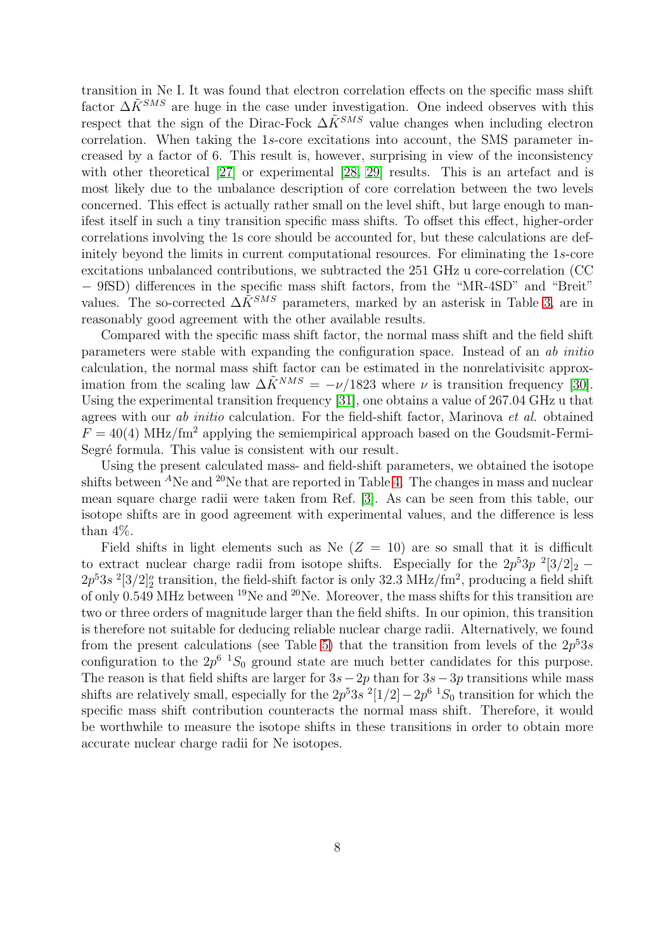transition in Ne I. It was found that electron correlation effects on the specific mass shift factor  $\Delta \tilde{K}^{SMS}$  are huge in the case under investigation. One indeed observes with this respect that the sign of the Dirac-Fock  $\Delta \tilde{K}^{SMS}$  value changes when including electron correlation. When taking the 1s-core excitations into account, the SMS parameter increased by a factor of 6. This result is, however, surprising in view of the inconsistency with other theoretical [\[27\]](#page-11-3) or experimental [\[28,](#page-11-4) [29\]](#page-11-5) results. This is an artefact and is most likely due to the unbalance description of core correlation between the two levels concerned. This effect is actually rather small on the level shift, but large enough to manifest itself in such a tiny transition specific mass shifts. To offset this effect, higher-order correlations involving the 1s core should be accounted for, but these calculations are definitely beyond the limits in current computational resources. For eliminating the 1s-core excitations unbalanced contributions, we subtracted the 251 GHz u core-correlation (CC − 9fSD) differences in the specific mass shift factors, from the "MR-4SD" and "Breit" values. The so-corrected  $\Delta \tilde{K}^{SMS}$  parameters, marked by an asterisk in Table [3,](#page-8-0) are in reasonably good agreement with the other available results.

Compared with the specific mass shift factor, the normal mass shift and the field shift parameters were stable with expanding the configuration space. Instead of an ab initio calculation, the normal mass shift factor can be estimated in the nonrelativisitc approximation from the scaling law  $\Delta \tilde{K}^{NMS} = -\nu/1823$  where  $\nu$  is transition frequency [\[30\]](#page-11-6). Using the experimental transition frequency [\[31\]](#page-11-7), one obtains a value of 267.04 GHz u that agrees with our ab initio calculation. For the field-shift factor, Marinova et al. obtained  $F = 40(4)$  MHz/fm<sup>2</sup> applying the semiempirical approach based on the Goudsmit-Fermi-Segré formula. This value is consistent with our result.

Using the present calculated mass- and field-shift parameters, we obtained the isotope shifts between  ${}^{A}$ Ne and  ${}^{20}$ Ne that are reported in Table [4.](#page-8-1) The changes in mass and nuclear mean square charge radii were taken from Ref. [\[3\]](#page-9-2). As can be seen from this table, our isotope shifts are in good agreement with experimental values, and the difference is less than 4%.

Field shifts in light elements such as Ne  $(Z = 10)$  are so small that it is difficult to extract nuclear charge radii from isotope shifts. Especially for the  $2p^53p^{-2}[3/2]_2$  –  $2p^53s^2[3/2]_2^o$  transition, the field-shift factor is only 32.3 MHz/fm<sup>2</sup>, producing a field shift of only 0.549 MHz between <sup>19</sup>Ne and <sup>20</sup>Ne. Moreover, the mass shifts for this transition are two or three orders of magnitude larger than the field shifts. In our opinion, this transition is therefore not suitable for deducing reliable nuclear charge radii. Alternatively, we found from the present calculations (see Table [5\)](#page-9-4) that the transition from levels of the  $2p^53s$ configuration to the  $2p^6$   ${}^{1}S_0$  ground state are much better candidates for this purpose. The reason is that field shifts are larger for  $3s-2p$  than for  $3s-3p$  transitions while mass shifts are relatively small, especially for the  $2p^53s^2[1/2]-2p^6$  1S<sub>0</sub> transition for which the specific mass shift contribution counteracts the normal mass shift. Therefore, it would be worthwhile to measure the isotope shifts in these transitions in order to obtain more accurate nuclear charge radii for Ne isotopes.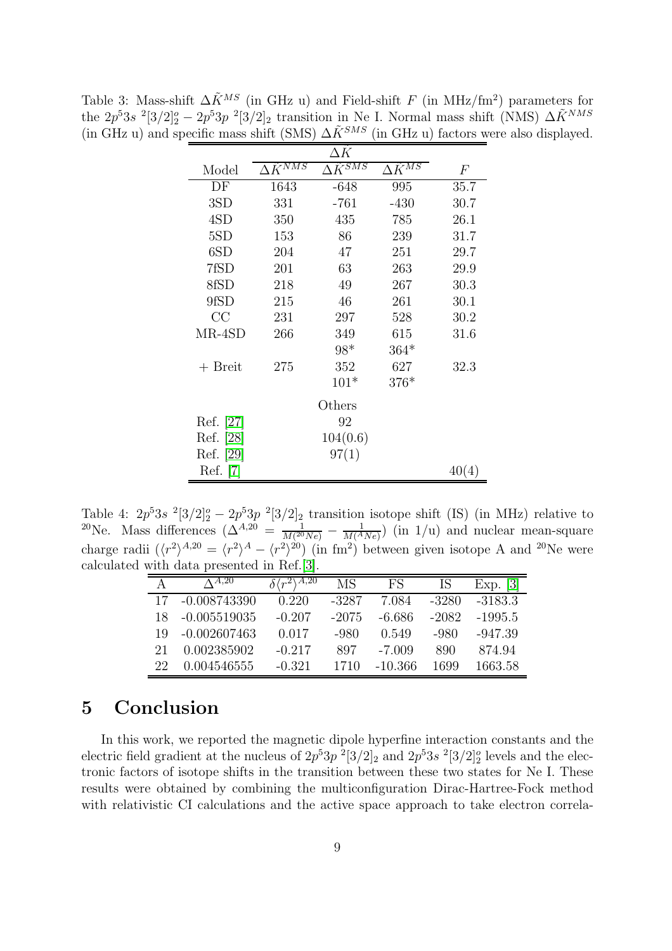|           |                             | $\Delta K$                      |                             |       |
|-----------|-----------------------------|---------------------------------|-----------------------------|-------|
| Model     | $\Delta K^{N\overline{MS}}$ | $K^{\overline{S\overline{MS}}}$ | $\Delta K^{M \overline{S}}$ | F     |
| DF        | 1643                        | $-648$                          | 995                         | 35.7  |
| 3SD       | 331                         | -761                            | -430                        | 30.7  |
| 4SD       | 350                         | 435                             | 785                         | 26.1  |
| 5SD       | 153                         | 86                              | 239                         | 31.7  |
| 6SD       | 204                         | 47                              | 251                         | 29.7  |
| 7fSD      | 201                         | 63                              | 263                         | 29.9  |
| 8fSD      | 218                         | 49                              | 267                         | 30.3  |
| 9fSD      | 215                         | 46                              | 261                         | 30.1  |
| CC        | 231                         | 297                             | 528                         | 30.2  |
| MR-4SD    | 266                         | 349                             | 615                         | 31.6  |
|           |                             | $98*$                           | $364*$                      |       |
| $+$ Breit | 275                         | 352                             | 627                         | 32.3  |
|           |                             | $101*$                          | $376*$                      |       |
|           |                             | Others                          |                             |       |
| Ref. [27] |                             | 92                              |                             |       |
| Ref. [28] |                             | 104(0.6)                        |                             |       |
| Ref. [29] |                             | 97(1)                           |                             |       |
| Ref.      |                             |                                 |                             | 40(4) |

<span id="page-8-0"></span>Table 3: Mass-shift  $\Delta \tilde{K}^{MS}$  (in GHz u) and Field-shift F (in MHz/fm<sup>2</sup>) parameters for the  $2p^53s^{-2}[3/2]_2^o - 2p^53p^{-2}[3/2]_2$  transition in Ne I. Normal mass shift (NMS)  $\Delta \tilde{K}^{NMS}$ (in GHz u) and specific mass shift (SMS)  $\Delta \tilde{K}^{SMS}$  (in GHz u) factors were also displayed.

Table 4:  $2p^53s$   $2[3/2]_2^o - 2p^53p$   $2[3/2]_2$  transition isotope shift (IS) (in MHz) relative to <sup>20</sup>Ne. Mass differences ( $\Delta^{A,20} = \frac{1}{M^{20}}$  $\frac{1}{M(^{20}Ne)} - \frac{1}{M(^{4}Ne)}$  (in 1/u) and nuclear mean-square charge radii  $(\langle r^2 \rangle^{A,20} = \langle r^2 \rangle^A - \langle r^2 \rangle^{20})$  (in fm<sup>2</sup>) between given isotope A and <sup>20</sup>Ne were calculated with data presented in Ref.[\[3\]](#page-9-2).

<span id="page-8-1"></span>

|    | $\Lambda$ A,20 | $\delta \langle r^2 \rangle^{\overline{A,20}}$ | MS      | FS       | IS      | Exp. $[3]$ |
|----|----------------|------------------------------------------------|---------|----------|---------|------------|
| 17 | $-0.008743390$ | 0.220                                          | -3287   | 7.084    | -3280   | $-3183.3$  |
| 18 | $-0.005519035$ | $-0.207$                                       | $-2075$ | $-6.686$ | $-2082$ | -1995.5    |
| 19 | $-0.002607463$ | 0.017                                          | -980    | 0.549    | -980    | -947.39    |
| 21 | 0.002385902    | $-0.217$                                       | 897     | -7.009   | 890     | 874.94     |
| 22 | 0.004546555    | $-0.321$                                       | 1710    | -10.366  | 1699    | 1663.58    |

## 5 Conclusion

In this work, we reported the magnetic dipole hyperfine interaction constants and the electric field gradient at the nucleus of  $2p^53p^2[3/2]_2$  and  $2p^53s^2[3/2]_2^o$  levels and the electronic factors of isotope shifts in the transition between these two states for Ne I. These results were obtained by combining the multiconfiguration Dirac-Hartree-Fock method with relativistic CI calculations and the active space approach to take electron correla-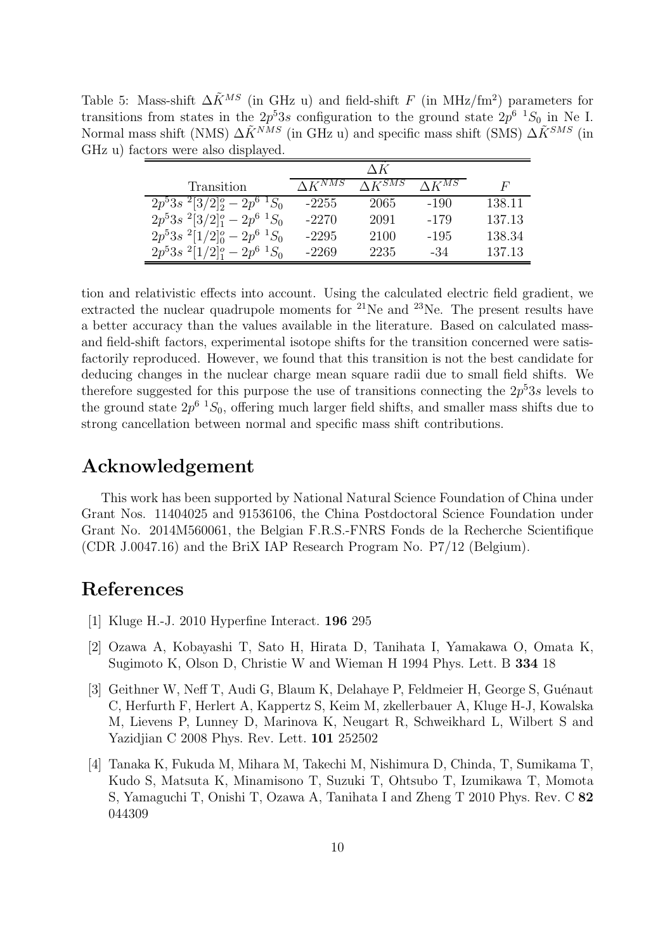Table 5: Mass-shift  $\Delta \tilde{K}^{MS}$  (in GHz u) and field-shift F (in MHz/fm<sup>2</sup>) parameters for transitions from states in the  $2p^53s$  configuration to the ground state  $2p^6$   ${}^1S_0$  in Ne I. Normal mass shift (NMS)  $\Delta \tilde{K}^{NMS}$  (in GHz u) and specific mass shift (SMS)  $\Delta \tilde{K}^{SMS}$  (in GHz u) factors were also displayed.

<span id="page-9-4"></span>

| Transition                       | $\Lambda$ $\bar{K}^{NMS}$ | $\Lambda K^{SMS}$ | $\Lambda$ $\tilde{K}^{M\overline{S}}$ | F      |
|----------------------------------|---------------------------|-------------------|---------------------------------------|--------|
| $2p^53s^2[3/2]_2^o-2p^{6}S_0$    | $-2255$                   | 2065              | $-190$                                | 138.11 |
| $2p^53s^2[3/2]_1^o-2p^6$ $^1S_0$ | $-2270$                   | 2091              | -179                                  | 137.13 |
| $2p^53s^2[1/2]_0^o-2p^6$ $^1S_0$ | $-2295$                   | 2100              | $-195$                                | 138.34 |
| $2p^53s^2[1/2]_1^o-2p^6$ $^1S_0$ | -2269                     | 2235              | -34                                   | 137.13 |

tion and relativistic effects into account. Using the calculated electric field gradient, we extracted the nuclear quadrupole moments for  $2^{1}$ Ne and  $2^{3}$ Ne. The present results have a better accuracy than the values available in the literature. Based on calculated massand field-shift factors, experimental isotope shifts for the transition concerned were satisfactorily reproduced. However, we found that this transition is not the best candidate for deducing changes in the nuclear charge mean square radii due to small field shifts. We therefore suggested for this purpose the use of transitions connecting the  $2p^53s$  levels to the ground state  $2p^{6}$   ${}^{1}S_0$ , offering much larger field shifts, and smaller mass shifts due to strong cancellation between normal and specific mass shift contributions.

### Acknowledgement

This work has been supported by National Natural Science Foundation of China under Grant Nos. 11404025 and 91536106, the China Postdoctoral Science Foundation under Grant No. 2014M560061, the Belgian F.R.S.-FNRS Fonds de la Recherche Scientifique (CDR J.0047.16) and the BriX IAP Research Program No. P7/12 (Belgium).

## <span id="page-9-0"></span>References

- <span id="page-9-1"></span>[1] Kluge H.-J. 2010 Hyperfine Interact. 196 295
- [2] Ozawa A, Kobayashi T, Sato H, Hirata D, Tanihata I, Yamakawa O, Omata K, Sugimoto K, Olson D, Christie W and Wieman H 1994 Phys. Lett. B 334 18
- <span id="page-9-2"></span>[3] Geithner W, Neff T, Audi G, Blaum K, Delahaye P, Feldmeier H, George S, Guénaut C, Herfurth F, Herlert A, Kappertz S, Keim M, zkellerbauer A, Kluge H-J, Kowalska M, Lievens P, Lunney D, Marinova K, Neugart R, Schweikhard L, Wilbert S and Yazidjian C 2008 Phys. Rev. Lett. 101 252502
- <span id="page-9-3"></span>[4] Tanaka K, Fukuda M, Mihara M, Takechi M, Nishimura D, Chinda, T, Sumikama T, Kudo S, Matsuta K, Minamisono T, Suzuki T, Ohtsubo T, Izumikawa T, Momota S, Yamaguchi T, Onishi T, Ozawa A, Tanihata I and Zheng T 2010 Phys. Rev. C 82 044309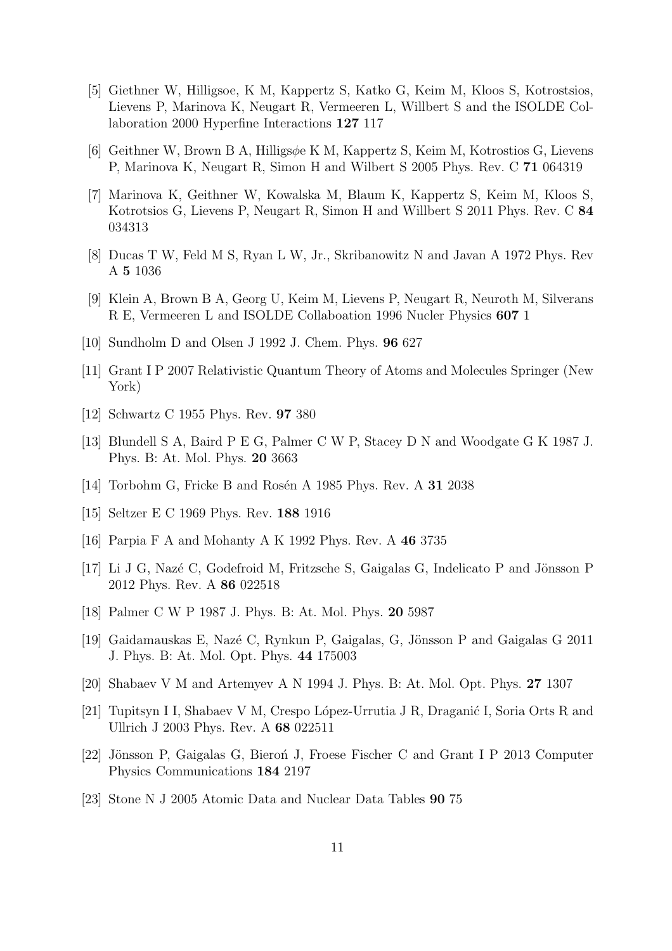- <span id="page-10-0"></span>[5] Giethner W, Hilligsoe, K M, Kappertz S, Katko G, Keim M, Kloos S, Kotrostsios, Lievens P, Marinova K, Neugart R, Vermeeren L, Willbert S and the ISOLDE Collaboration 2000 Hyperfine Interactions 127 117
- <span id="page-10-2"></span><span id="page-10-1"></span>[6] Geithner W, Brown B A, Hilligsφe K M, Kappertz S, Keim M, Kotrostios G, Lievens P, Marinova K, Neugart R, Simon H and Wilbert S 2005 Phys. Rev. C 71 064319
- [7] Marinova K, Geithner W, Kowalska M, Blaum K, Kappertz S, Keim M, Kloos S, Kotrotsios G, Lievens P, Neugart R, Simon H and Willbert S 2011 Phys. Rev. C 84 034313
- <span id="page-10-4"></span><span id="page-10-3"></span>[8] Ducas T W, Feld M S, Ryan L W, Jr., Skribanowitz N and Javan A 1972 Phys. Rev A 5 1036
- <span id="page-10-5"></span>[9] Klein A, Brown B A, Georg U, Keim M, Lievens P, Neugart R, Neuroth M, Silverans R E, Vermeeren L and ISOLDE Collaboation 1996 Nucler Physics 607 1
- <span id="page-10-6"></span>[10] Sundholm D and Olsen J 1992 J. Chem. Phys. 96 627
- <span id="page-10-7"></span>[11] Grant I P 2007 Relativistic Quantum Theory of Atoms and Molecules Springer (New York)
- <span id="page-10-8"></span>[12] Schwartz C 1955 Phys. Rev. 97 380
- <span id="page-10-9"></span>[13] Blundell S A, Baird P E G, Palmer C W P, Stacey D N and Woodgate G K 1987 J. Phys. B: At. Mol. Phys. 20 3663
- <span id="page-10-12"></span>[14] Torbohm G, Fricke B and Rosén A 1985 Phys. Rev. A  $31\,2038$
- <span id="page-10-10"></span>[15] Seltzer E C 1969 Phys. Rev. 188 1916
- <span id="page-10-11"></span>[16] Parpia F A and Mohanty A K 1992 Phys. Rev. A 46 3735
- [17] Li J G, Nazé C, Godefroid M, Fritzsche S, Gaigalas G, Indelicato P and Jönsson P 2012 Phys. Rev. A 86 022518
- <span id="page-10-14"></span><span id="page-10-13"></span>[18] Palmer C W P 1987 J. Phys. B: At. Mol. Phys. 20 5987
- <span id="page-10-15"></span>[19] Gaidamauskas E, Nazé C, Rynkun P, Gaigalas, G, Jönsson P and Gaigalas G 2011 J. Phys. B: At. Mol. Opt. Phys. 44 175003
- <span id="page-10-16"></span>[20] Shabaev V M and Artemyev A N 1994 J. Phys. B: At. Mol. Opt. Phys. 27 1307
- [21] Tupitsyn I I, Shabaev V M, Crespo López-Urrutia J R, Draganić I, Soria Orts R and Ullrich J 2003 Phys. Rev. A 68 022511
- <span id="page-10-18"></span><span id="page-10-17"></span>[22] Jönsson P, Gaigalas G, Bieron J, Froese Fischer C and Grant I P 2013 Computer Physics Communications 184 2197
- [23] Stone N J 2005 Atomic Data and Nuclear Data Tables 90 75